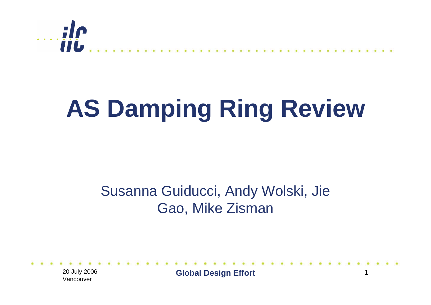

# **AS Damping Ring Review**

#### Susanna Guiducci, Andy Wolski, Jie Gao, Mike Zisman

20 July 2006 Vancouver

**Global Design Effort** 1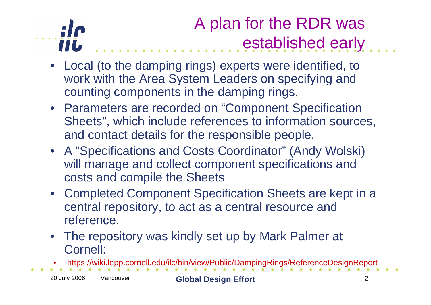### $\ldots$ ile iiL.

### A plan for the RDR was established early

- Local (to the damping rings) experts were identified, to work with the Area System Leaders on specifying and counting components in the damping rings.
- Parameters are recorded on "Component Specification Sheets", which include references to information sources, and contact details for the responsible people.
- A "Specifications and Costs Coordinator" (Andy Wolski) will manage and collect component specifications and costs and compile the Sheets
- Completed Component Specification Sheets are kept in a central repository, to act as a central resource and reference.
- The repository was kindly set up by Mark Palmer at Cornell:
- •https://wiki.lepp.cornell.edu/ilc/bin/view/Public/DampingRings/ReferenceDesignReport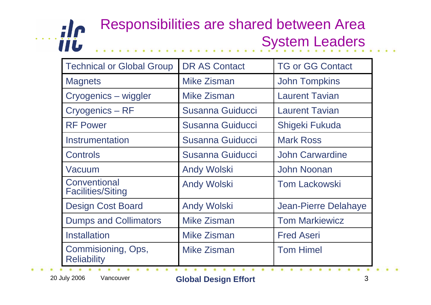#### $\cdots$ ile Responsibilities are shared between Area System Leaders

| <b>Technical or Global Group</b>         | <b>DR AS Contact</b>    | <b>TG or GG Contact</b> |
|------------------------------------------|-------------------------|-------------------------|
| <b>Magnets</b>                           | Mike Zisman             | <b>John Tompkins</b>    |
| Cryogenics – wiggler                     | <b>Mike Zisman</b>      | <b>Laurent Tavian</b>   |
| Cryogenics - RF                          | <b>Susanna Guiducci</b> | <b>Laurent Tavian</b>   |
| <b>RF Power</b>                          | Susanna Guiducci        | Shigeki Fukuda          |
| Instrumentation                          | <b>Susanna Guiducci</b> | <b>Mark Ross</b>        |
| <b>Controls</b>                          | <b>Susanna Guiducci</b> | <b>John Carwardine</b>  |
| Vacuum                                   | <b>Andy Wolski</b>      | <b>John Noonan</b>      |
| Conventional<br><b>Facilities/Siting</b> | <b>Andy Wolski</b>      | <b>Tom Lackowski</b>    |
| <b>Design Cost Board</b>                 | <b>Andy Wolski</b>      | Jean-Pierre Delahaye    |
| <b>Dumps and Collimators</b>             | <b>Mike Zisman</b>      | <b>Tom Markiewicz</b>   |
| <b>Installation</b>                      | <b>Mike Zisman</b>      | <b>Fred Aseri</b>       |
| Commisioning, Ops,<br><b>Reliability</b> | Mike Zisman             | <b>Tom Himel</b>        |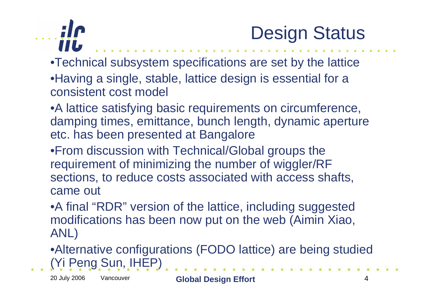



•Technical subsystem specifications are set by the lattice •Having a single, stable, lattice design is essential for a consistent cost model

•A lattice satisfying basic requirements on circumference, damping times, emittance, bunch length, dynamic aperture etc. has been presented at Bangalore

•From discussion with Technical/Global groups the requirement of minimizing the number of wiggler/RF sections, to reduce costs associated with access shafts, came out

•A final "RDR" version of the lattice, including suggested modifications has been now put on the web (Aimin Xiao, ANL)

•Alternative configurations (FODO lattice) are being studied (Yi Peng Sun, IHEP)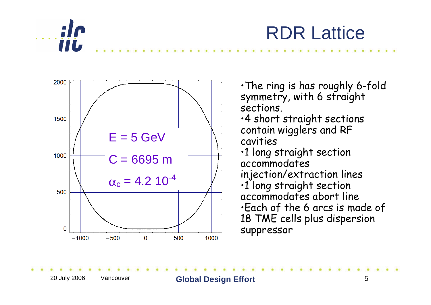





•The ring is has roughly 6-fold symmetry, with 6 straight sections. •4 short straight sections contain wigglers and RF cavities •1 long straight section accommodates injection/extraction lines •1 long straight section accommodates abort line •Each of the 6 arcs is made of 18 TME cells plus dispersion suppressor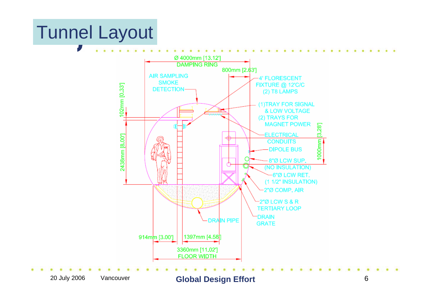### Tunnel Layout



20 July 2006 Vancouver **Global Design Effort** <sup>6</sup>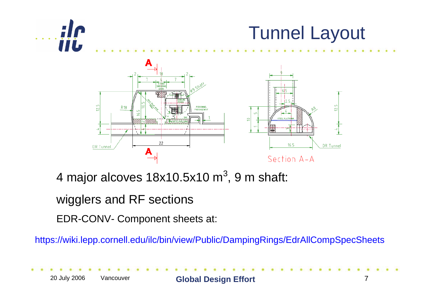



4 major alcoves  $18x10.5x10 m<sup>3</sup>$ , 9 m shaft:

#### wigglers and RF sections

EDR-CONV- Component sheets at:

https://wiki.lepp.cornell.edu/ilc/bin/view/Public/DampingRings/EdrAllCompSpecSheets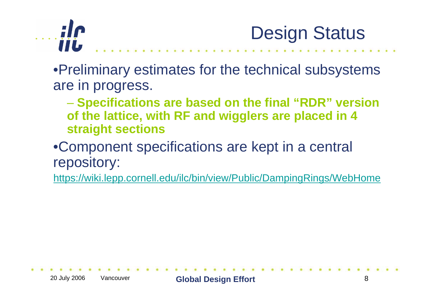

Design Status

•Preliminary estimates for the technical subsystems are in progress.

- – **Specifications are based on the final "RDR" version of the lattice, with RF and wigglers are placed in 4 straight sections**
- •Component specifications are kept in a central repository:

https://wiki.lepp.cornell.edu/ilc/bin/view/Public/DampingRings/WebHome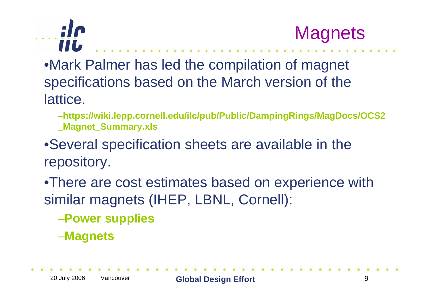



- •Mark Palmer has led the compilation of magnet specifications based on the March version of the lattice.
	- –**https://wiki.lepp.cornell.edu/ilc/pub/Public/DampingRings/MagDocs/OCS2 \_Magnet\_Summary.xls**
- •Several specification sheets are available in the repository.
- •There are cost estimates based on experience with similar magnets (IHEP, LBNL, Cornell):
	- –**Power supplies**
	- –**Magnets**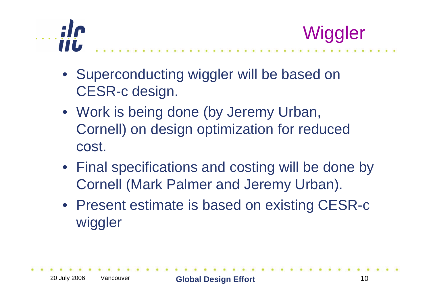



- Superconducting wiggler will be based on CESR-c design.
- Work is being done (by Jeremy Urban, Cornell) on design optimization for reduced cost.
- Final specifications and costing will be done by Cornell (Mark Palmer and Jeremy Urban).
- Present estimate is based on existing CESR-c wiggler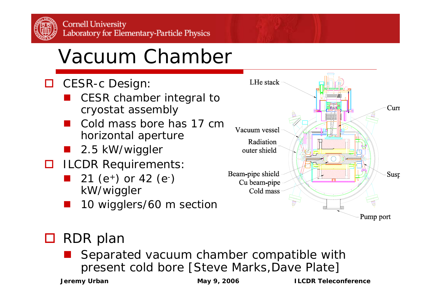# Vacuum Chamber

- □ CESR-c Design:
	- an<br>M CESR chamber integral to cryostat assembly
	- Cold mass bore has 17 cm horizontal aperture
	- an<br>Ma 2.5 kW/wiggler
- **ILCDR Requirements:** 
	- **21** (e<sup>+</sup>) or 42 (e<sup>-</sup>) kW/wiggler
	- an<br>Ma 10 wigglers/60 m section



#### □ RDR plan

 Separated vacuum chamber compatible with present cold bore [Steve Marks,Dave Plate]

**Jeremy Urban May 9, 2006 May 9, 2006 ILCDR Teleconference**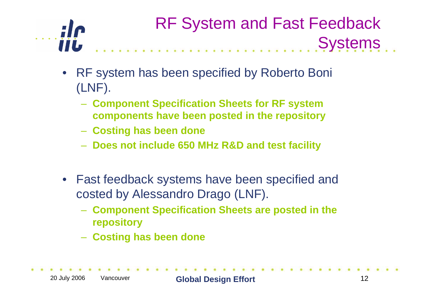

#### RF System and Fast Feedback **Systems** state and a state state state

- $\bullet$  RF system has been specified by Roberto Boni (LNF).
	- **Component Specification Sheets for RF system components have been posted in the repository**
	- **Costing has been done**
	- **Does not include 650 MHz R&D and test facility**
- $\bullet$  Fast feedback systems have been specified and costed by Alessandro Drago (LNF).
	- **Component Specification Sheets are posted in the repository**
	- **Costing has been done**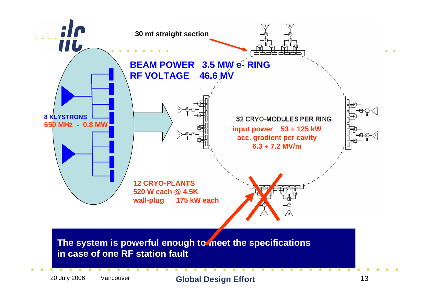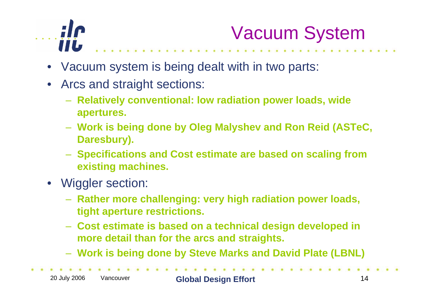

## Vacuum System

- $\bullet$ Vacuum system is being dealt with in two parts:
- $\bullet$  Arcs and straight sections:
	- **Relatively conventional: low radiation power loads, wide apertures.**
	- **Work is being done by Oleg Malyshev and Ron Reid (ASTeC, Daresbury).**
	- **Specifications and Cost estimate are based on scaling from existing machines.**
- Wiggler section:
	- **Rather more challenging: very high radiation power loads, tight aperture restrictions.**
	- **Cost estimate is based on a technical design developed in more detail than for the arcs and straights.**
	- **Work is being done by Steve Marks and David Plate (LBNL)**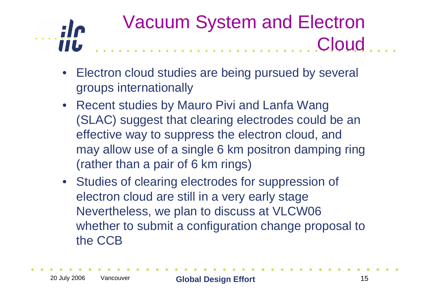#### Vacuum System and Electron  $\cdots$ ilc **Cloud**

- $\bullet$  Electron cloud studies are being pursued by several groups internationally
- Recent studies by Mauro Pivi and Lanfa Wang (SLAC) suggest that clearing electrodes could be an effective way to suppress the electron cloud, and may allow use of a single 6 km positron damping ring (rather than a pair of 6 km rings)
- Studies of clearing electrodes for suppression of electron cloud are still in a very early stage Nevertheless, we plan to discuss at VLCW06 whether to submit a configuration change proposal to the CCB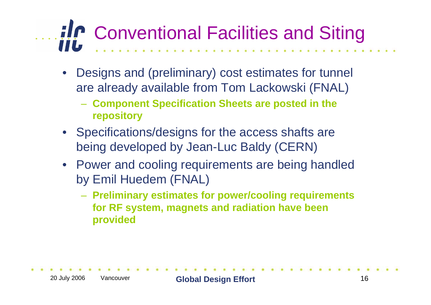# **Conventional Facilities and Siting**

- $\bullet$  Designs and (preliminary) cost estimates for tunnel are already available from Tom Lackowski (FNAL)
	- **Component Specification Sheets are posted in the repository**
- Specifications/designs for the access shafts are being developed by Jean-Luc Baldy (CERN)
- Power and cooling requirements are being handled by Emil Huedem (FNAL)
	- **Preliminary estimates for power/cooling requirements for RF system, magnets and radiation have been provided**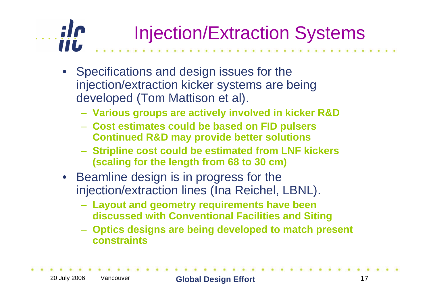### $\cdots$ ilc Injection/Extraction Systems

- Specifications and design issues for the injection/extraction kicker systems are being developed (Tom Mattison et al).
	- **Various groups are actively involved in kicker R&D**
	- **Cost estimates could be based on FID pulsers Continued R&D may provide better solutions**
	- **Stripline cost could be estimated from LNF kickers (scaling for the length from 68 to 30 cm)**
- Beamline design is in progress for the injection/extraction lines (Ina Reichel, LBNL).
	- **Layout and geometry requirements have been discussed with Conventional Facilities and Siting**
	- **Optics designs are being developed to match present constraints**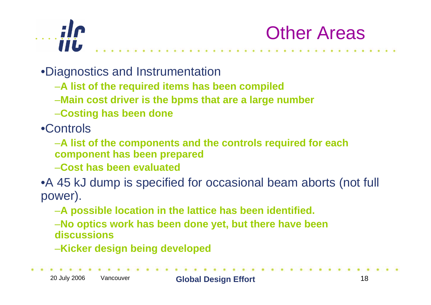



•Diagnostics and Instrumentation

- –**A list of the required items has been compiled**
- –**Main cost driver is the bpms that are a large number**
- –**Costing has been done**

•Controls

- –**A list of the components and the controls required for each component has been prepared**
- –**Cost has been evaluated**
- •A 45 kJ dump is specified for occasional beam aborts (not full power).
	- –**A possible location in the lattice has been identified.**
	- –**No optics work has been done yet, but there have been discussions**
	- –**Kicker design being developed**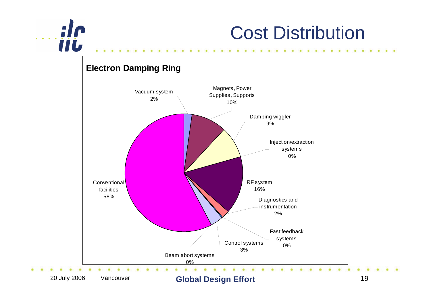

### Cost Distribution

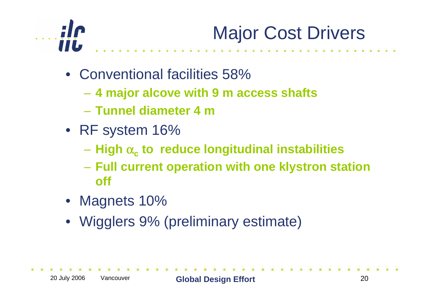

# Major Cost Drivers

- Conventional facilities 58%
	- **4 major alcove with 9 m access shafts**
	- **Tunnel diameter 4 m**
- RF system 16%
	- **High** <sup>α</sup>**<sup>c</sup> to reduce longitudinal instabilities**
	- – **Full current operation with one klystron station off**
- Magnets 10%
- Wigglers 9% (preliminary estimate)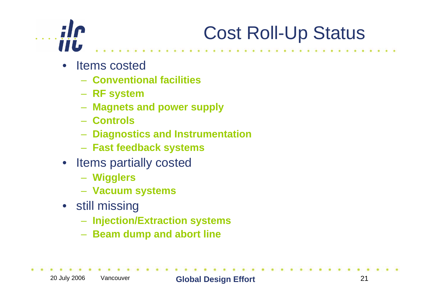### $\ldots$  ; i.e. **TIL**

# Cost Roll-Up Status

- Items costed
	- **Conventional facilities**
	- **RF system**
	- **Magnets and power supply**
	- **Controls**
	- **Diagnostics and Instrumentation**
	- **Fast feedback systems**
- Items partially costed
	- **Wigglers**
	- **Vacuum systems**
- still missing
	- **Injection/Extraction systems**
	- **Alterata Beam dump and abort line**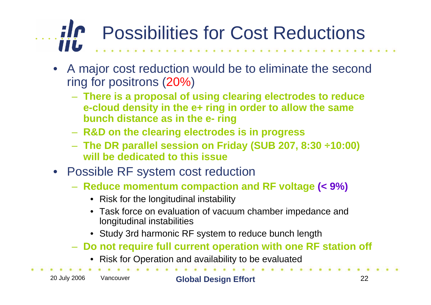#### $\ldots$ ile Possibilities for Cost Reductions iiL.

- $\bullet$  A major cost reduction would be to eliminate the second ring for positrons (20%)
	- **There is a proposal of using clearing electrodes to reduce e-cloud density in the e+ ring in order to allow the same bunch distance as in the e- ring**
	- **R&D on the clearing electrodes is in progress**
	- **The DR parallel session on Friday (SUB 207, 8:30** ÷**10:00) will be dedicated to this issue**
- Possible RF system cost reduction
	- **Reduce momentum compaction and RF voltage (< 9%)**
		- Risk for the longitudinal instability
		- Task force on evaluation of vacuum chamber impedance and longitudinal instabilities
		- Study 3rd harmonic RF system to reduce bunch length
	- **Do not require full current operation with one RF station off**
		- Risk for Operation and availability to be evaluated

20 July 2006 Vancouver **Global Design Effort** <sup>22</sup>